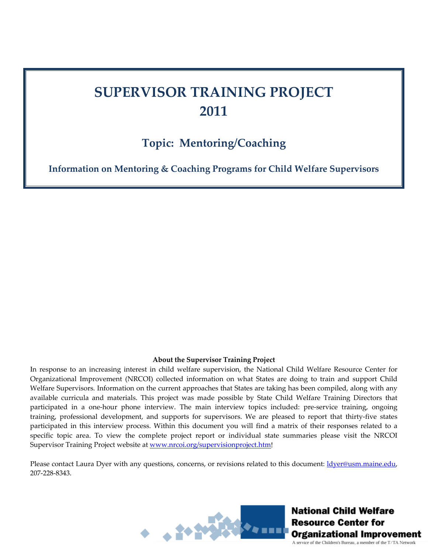## **SUPERVISOR TRAINING PROJECT 2011**

## **Topic: Mentoring/Coaching**

**Information on Mentoring & Coaching Programs for Child Welfare Supervisors**

## **About the Supervisor Training Project**

In response to an increasing interest in child welfare supervision, the National Child Welfare Resource Center for Organizational Improvement (NRCOI) collected information on what States are doing to train and support Child Welfare Supervisors. Information on the current approaches that States are taking has been compiled, along with any available curricula and materials. This project was made possible by State Child Welfare Training Directors that participated in a one-hour phone interview. The main interview topics included: pre-service training, ongoing training, professional development, and supports for supervisors. We are pleased to report that thirty-five states participated in this interview process. Within this document you will find a matrix of their responses related to a specific topic area. To view the complete project report or individual state summaries please visit the NRCOI Supervisor Training Project website at **[www.nrcoi.org/supervisionproject.htm!](http://www.nrcoi.org/supervisionproject.htm)** 

Please contact Laura Dyer with any questions, concerns, or revisions related to this document: *[ldyer@usm.maine.edu](mailto:ldyer@usm.maine.edu),* 207‐228‐8343.



National Child Welfare **Resource Center for** Organizational Improvement A service of the Children's Bureau, a member of the T/TA Network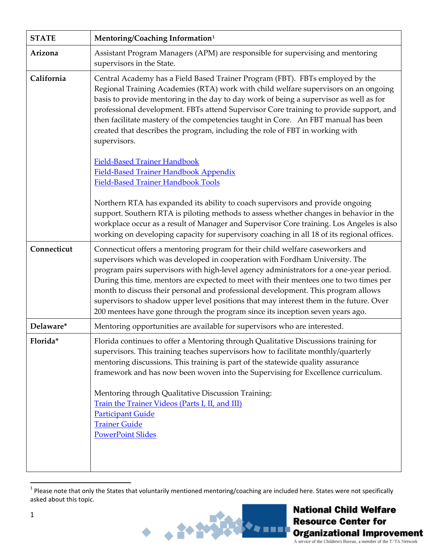| <b>STATE</b> | Mentoring/Coaching Information <sup>1</sup>                                                                                                                                                                                                                                                                                                                                                                                                                                                                                                                                                                        |
|--------------|--------------------------------------------------------------------------------------------------------------------------------------------------------------------------------------------------------------------------------------------------------------------------------------------------------------------------------------------------------------------------------------------------------------------------------------------------------------------------------------------------------------------------------------------------------------------------------------------------------------------|
| Arizona      | Assistant Program Managers (APM) are responsible for supervising and mentoring<br>supervisors in the State.                                                                                                                                                                                                                                                                                                                                                                                                                                                                                                        |
| California   | Central Academy has a Field Based Trainer Program (FBT). FBTs employed by the<br>Regional Training Academies (RTA) work with child welfare supervisors on an ongoing<br>basis to provide mentoring in the day to day work of being a supervisor as well as for<br>professional development. FBTs attend Supervisor Core training to provide support, and<br>then facilitate mastery of the competencies taught in Core. An FBT manual has been<br>created that describes the program, including the role of FBT in working with<br>supervisors.                                                                    |
|              | <b>Field-Based Trainer Handbook</b><br><b>Field-Based Trainer Handbook Appendix</b><br><b>Field-Based Trainer Handbook Tools</b>                                                                                                                                                                                                                                                                                                                                                                                                                                                                                   |
|              | Northern RTA has expanded its ability to coach supervisors and provide ongoing<br>support. Southern RTA is piloting methods to assess whether changes in behavior in the<br>workplace occur as a result of Manager and Supervisor Core training. Los Angeles is also<br>working on developing capacity for supervisory coaching in all 18 of its regional offices.                                                                                                                                                                                                                                                 |
| Connecticut  | Connecticut offers a mentoring program for their child welfare caseworkers and<br>supervisors which was developed in cooperation with Fordham University. The<br>program pairs supervisors with high-level agency administrators for a one-year period.<br>During this time, mentors are expected to meet with their mentees one to two times per<br>month to discuss their personal and professional development. This program allows<br>supervisors to shadow upper level positions that may interest them in the future. Over<br>200 mentees have gone through the program since its inception seven years ago. |
| Delaware*    | Mentoring opportunities are available for supervisors who are interested.                                                                                                                                                                                                                                                                                                                                                                                                                                                                                                                                          |
| Florida*     | Florida continues to offer a Mentoring through Qualitative Discussions training for<br>supervisors. This training teaches supervisors how to facilitate monthly/quarterly<br>mentoring discussions. This training is part of the statewide quality assurance<br>framework and has now been woven into the Supervising for Excellence curriculum.<br>Mentoring through Qualitative Discussion Training:<br>Train the Trainer Videos (Parts I, II, and III)<br><b>Participant Guide</b><br><b>Trainer Guide</b><br><b>PowerPoint Slides</b>                                                                          |

<span id="page-1-0"></span> $^1$  Please note that only the States that voluntarily mentioned mentoring/coaching are included here. States were not specifically asked about this topic.

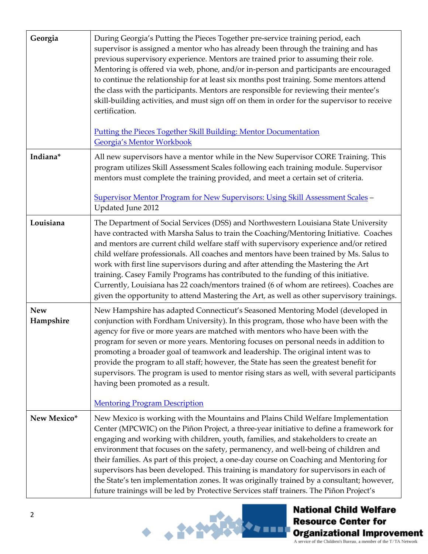| Georgia                 | During Georgia's Putting the Pieces Together pre-service training period, each<br>supervisor is assigned a mentor who has already been through the training and has<br>previous supervisory experience. Mentors are trained prior to assuming their role.<br>Mentoring is offered via web, phone, and/or in-person and participants are encouraged<br>to continue the relationship for at least six months post training. Some mentors attend<br>the class with the participants. Mentors are responsible for reviewing their mentee's<br>skill-building activities, and must sign off on them in order for the supervisor to receive<br>certification.<br><b>Putting the Pieces Together Skill Building: Mentor Documentation</b><br>Georgia's Mentor Workbook |
|-------------------------|-----------------------------------------------------------------------------------------------------------------------------------------------------------------------------------------------------------------------------------------------------------------------------------------------------------------------------------------------------------------------------------------------------------------------------------------------------------------------------------------------------------------------------------------------------------------------------------------------------------------------------------------------------------------------------------------------------------------------------------------------------------------|
| Indiana*                | All new supervisors have a mentor while in the New Supervisor CORE Training. This<br>program utilizes Skill Assessment Scales following each training module. Supervisor<br>mentors must complete the training provided, and meet a certain set of criteria.<br><b>Supervisor Mentor Program for New Supervisors: Using Skill Assessment Scales -</b><br>Updated June 2012                                                                                                                                                                                                                                                                                                                                                                                      |
| Louisiana               | The Department of Social Services (DSS) and Northwestern Louisiana State University<br>have contracted with Marsha Salus to train the Coaching/Mentoring Initiative. Coaches<br>and mentors are current child welfare staff with supervisory experience and/or retired<br>child welfare professionals. All coaches and mentors have been trained by Ms. Salus to<br>work with first line supervisors during and after attending the Mastering the Art<br>training. Casey Family Programs has contributed to the funding of this initiative.<br>Currently, Louisiana has 22 coach/mentors trained (6 of whom are retirees). Coaches are<br>given the opportunity to attend Mastering the Art, as well as other supervisory trainings.                            |
| <b>New</b><br>Hampshire | New Hampshire has adapted Connecticut's Seasoned Mentoring Model (developed in<br>conjunction with Fordham University). In this program, those who have been with the<br>agency for five or more years are matched with mentors who have been with the<br>program for seven or more years. Mentoring focuses on personal needs in addition to<br>promoting a broader goal of teamwork and leadership. The original intent was to<br>provide the program to all staff; however, the State has seen the greatest benefit for<br>supervisors. The program is used to mentor rising stars as well, with several participants<br>having been promoted as a result.<br><b>Mentoring Program Description</b>                                                           |
| New Mexico*             | New Mexico is working with the Mountains and Plains Child Welfare Implementation<br>Center (MPCWIC) on the Piñon Project, a three-year initiative to define a framework for<br>engaging and working with children, youth, families, and stakeholders to create an<br>environment that focuses on the safety, permanency, and well-being of children and<br>their families. As part of this project, a one-day course on Coaching and Mentoring for<br>supervisors has been developed. This training is mandatory for supervisors in each of<br>the State's ten implementation zones. It was originally trained by a consultant; however,<br>future trainings will be led by Protective Services staff trainers. The Piñon Project's                             |



**National Child Welfare Resource Center for Organizational Improvement**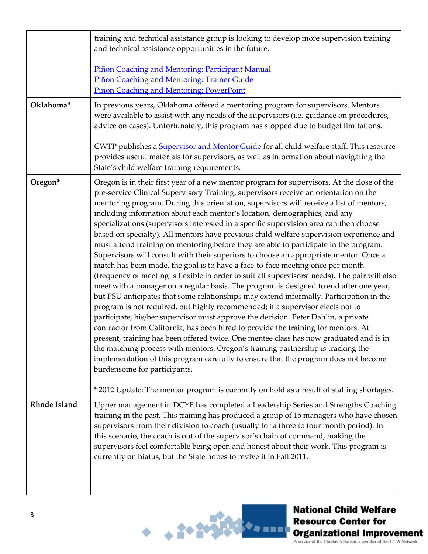|              | training and technical assistance group is looking to develop more supervision training<br>and technical assistance opportunities in the future.<br>Piñon Coaching and Mentoring: Participant Manual<br>Piñon Coaching and Mentoring: Trainer Guide                                                                                                                                                                                                                                                                                                                                                                                                                                                                                                                                                                                                                                                                                                                                                                                                                                                                                                                                                                                                                                                                                                                                                                                                                                                                                                                                                                                                                           |
|--------------|-------------------------------------------------------------------------------------------------------------------------------------------------------------------------------------------------------------------------------------------------------------------------------------------------------------------------------------------------------------------------------------------------------------------------------------------------------------------------------------------------------------------------------------------------------------------------------------------------------------------------------------------------------------------------------------------------------------------------------------------------------------------------------------------------------------------------------------------------------------------------------------------------------------------------------------------------------------------------------------------------------------------------------------------------------------------------------------------------------------------------------------------------------------------------------------------------------------------------------------------------------------------------------------------------------------------------------------------------------------------------------------------------------------------------------------------------------------------------------------------------------------------------------------------------------------------------------------------------------------------------------------------------------------------------------|
|              | Piñon Coaching and Mentoring: PowerPoint                                                                                                                                                                                                                                                                                                                                                                                                                                                                                                                                                                                                                                                                                                                                                                                                                                                                                                                                                                                                                                                                                                                                                                                                                                                                                                                                                                                                                                                                                                                                                                                                                                      |
| Oklahoma*    | In previous years, Oklahoma offered a mentoring program for supervisors. Mentors<br>were available to assist with any needs of the supervisors (i.e. guidance on procedures,<br>advice on cases). Unfortunately, this program has stopped due to budget limitations.                                                                                                                                                                                                                                                                                                                                                                                                                                                                                                                                                                                                                                                                                                                                                                                                                                                                                                                                                                                                                                                                                                                                                                                                                                                                                                                                                                                                          |
|              | CWTP publishes a <b>Supervisor and Mentor Guide</b> for all child welfare staff. This resource<br>provides useful materials for supervisors, as well as information about navigating the<br>State's child welfare training requirements.                                                                                                                                                                                                                                                                                                                                                                                                                                                                                                                                                                                                                                                                                                                                                                                                                                                                                                                                                                                                                                                                                                                                                                                                                                                                                                                                                                                                                                      |
| Oregon*      | Oregon is in their first year of a new mentor program for supervisors. At the close of the<br>pre-service Clinical Supervisory Training, supervisors receive an orientation on the<br>mentoring program. During this orientation, supervisors will receive a list of mentors,<br>including information about each mentor's location, demographics, and any<br>specializations (supervisors interested in a specific supervision area can then choose<br>based on specialty). All mentors have previous child welfare supervision experience and<br>must attend training on mentoring before they are able to participate in the program.<br>Supervisors will consult with their superiors to choose an appropriate mentor. Once a<br>match has been made, the goal is to have a face-to-face meeting once per month<br>(frequency of meeting is flexible in order to suit all supervisors' needs). The pair will also<br>meet with a manager on a regular basis. The program is designed to end after one year,<br>but PSU anticipates that some relationships may extend informally. Participation in the<br>program is not required, but highly recommended; if a supervisor elects not to<br>participate, his/her supervisor must approve the decision. Peter Dahlin, a private<br>contractor from California, has been hired to provide the training for mentors. At<br>present, training has been offered twice. One mentee class has now graduated and is in<br>the matching process with mentors. Oregon's training partnership is tracking the<br>implementation of this program carefully to ensure that the program does not become<br>burdensome for participants. |
|              | * 2012 Update: The mentor program is currently on hold as a result of staffing shortages.                                                                                                                                                                                                                                                                                                                                                                                                                                                                                                                                                                                                                                                                                                                                                                                                                                                                                                                                                                                                                                                                                                                                                                                                                                                                                                                                                                                                                                                                                                                                                                                     |
| Rhode Island | Upper management in DCYF has completed a Leadership Series and Strengths Coaching<br>training in the past. This training has produced a group of 15 managers who have chosen<br>supervisors from their division to coach (usually for a three to four month period). In<br>this scenario, the coach is out of the supervisor's chain of command, making the<br>supervisors feel comfortable being open and honest about their work. This program is<br>currently on hiatus, but the State hopes to revive it in Fall 2011.                                                                                                                                                                                                                                                                                                                                                                                                                                                                                                                                                                                                                                                                                                                                                                                                                                                                                                                                                                                                                                                                                                                                                    |

 $+ - 1456$ 

,<br>\*\*\*\*\*\*

**National Child Welfare Resource Center for Organizational Improvement**